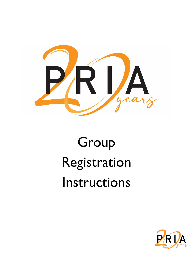

# Group Registration Instructions

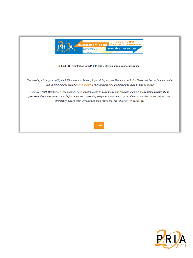

#### Submit ONE registration form PER PERSON attending from your organization.

This meeting will be governed by the PRIA Intellectual Property Rights Policy and the PRIA Antitrust Policy. These policies can be found in the PRIA Operating Rules posted at www.pria.us. By participating, you are agreeing to abide by these Policies.

If you are a PRIA Member or have attended a previous conference or webinar as a non-member, you have been assigned a user ID and password. If you are unsure of your login credentials or are trying to register someone from your office and you do not have their account information, please email info@pria.us and a member of the PRIA staff will assist you.

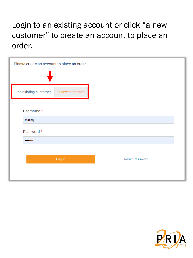# Login to an existing account or click "a new customer" to create an account to place an order.

| Please create an account to place an order |                |                       |  |
|--------------------------------------------|----------------|-----------------------|--|
| an existing customer                       | a new customer |                       |  |
| Username *<br>mallory                      |                |                       |  |
| Password *<br>                             |                |                       |  |
|                                            | Log In         | <b>Reset Password</b> |  |

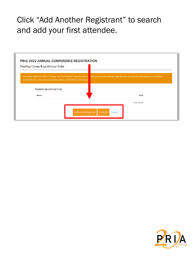# Click "Add Another Registrant" to search and add your first attendee.



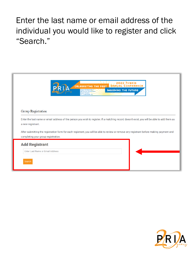# Enter the last name or email address of the individual you would like to register and click "Search."



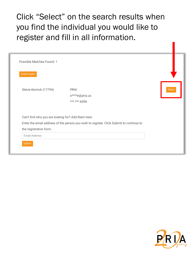Click "Select" on the search results when you find the individual you would like to register and fill in all information.

| Possible Matches Found: 1                          |                                                                                         |        |
|----------------------------------------------------|-----------------------------------------------------------------------------------------|--------|
| Search Again                                       |                                                                                         |        |
|                                                    |                                                                                         | Select |
| Stevie Kernick (17794)                             | <b>PRIA</b><br>s****e@pria.us                                                           |        |
|                                                    | ***.***.6096                                                                            |        |
| Can't find who you are looking for? Add them here. |                                                                                         |        |
|                                                    | Enter the email address of the person you wish to register. Click Submit to continue to |        |
| the registration form.                             |                                                                                         |        |
| <b>Email Address</b>                               |                                                                                         |        |
| Submit                                             |                                                                                         |        |

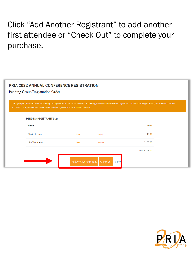# Click "Add Another Registrant" to add another first attendee or "Check Out" to complete your purchase.

## **PRIA 2022 ANNUAL CONFERENCE REGISTRATION**

Pending Group Registration Order

Your group registration order is "Pending" until you Check Out. While the order is pending, you may add additional registrants later by returning to the registration form before 07/29/2022. If you have not submitted this order by 07/29/2022, it will be cancelled.

| <b>Name</b>           |                               |                   | <b>Total</b>    |
|-----------------------|-------------------------------|-------------------|-----------------|
| <b>Stevie Kernick</b> | view                          | remove            | \$0.00          |
| Jim Thompson          | view                          | remove            | \$175.00        |
|                       |                               |                   | Total: \$175.00 |
|                       | <b>Add Another Registrant</b> | Check Out<br>Canc |                 |

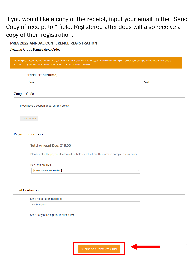If you would like a copy of the receipt, input your email in the "Send Copy of receipt to:" field. Registered attendees will also receive a copy of their registration.

### PRIA 2022 ANNUAL CONFERENCE REGISTRATION

Pending Group Registration Order

Your group registration order is "Pending" until you Check Out. While the order is pending, you may add additional registrants later by returning to the registration form before **PENDING REGISTRANTS (1) Name Total** 

### Coupon Code

If you have a coupon code, enter it below:

APPLY COUPON

### **Payment Information**

### Total Amount Due: \$15.00

Please enter the payment information below and submit this form to complete your order.

**Payment Method:** 

| [Select a Payment Method] |
|---------------------------|
|---------------------------|

### **Email Confirmation**

Send registration receipt to:

test@test.com

Send copy of receipt to: (optional) <sup>O</sup>